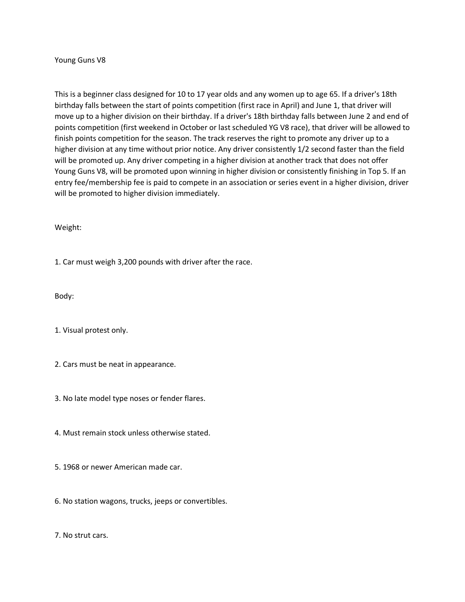Young Guns V8

This is a beginner class designed for 10 to 17 year olds and any women up to age 65. If a driver's 18th birthday falls between the start of points competition (first race in April) and June 1, that driver will move up to a higher division on their birthday. If a driver's 18th birthday falls between June 2 and end of points competition (first weekend in October or last scheduled YG V8 race), that driver will be allowed to finish points competition for the season. The track reserves the right to promote any driver up to a higher division at any time without prior notice. Any driver consistently 1/2 second faster than the field will be promoted up. Any driver competing in a higher division at another track that does not offer Young Guns V8, will be promoted upon winning in higher division or consistently finishing in Top 5. If an entry fee/membership fee is paid to compete in an association or series event in a higher division, driver will be promoted to higher division immediately.

Weight:

1. Car must weigh 3,200 pounds with driver after the race.

Body:

1. Visual protest only.

2. Cars must be neat in appearance.

3. No late model type noses or fender flares.

4. Must remain stock unless otherwise stated.

5. 1968 or newer American made car.

6. No station wagons, trucks, jeeps or convertibles.

7. No strut cars.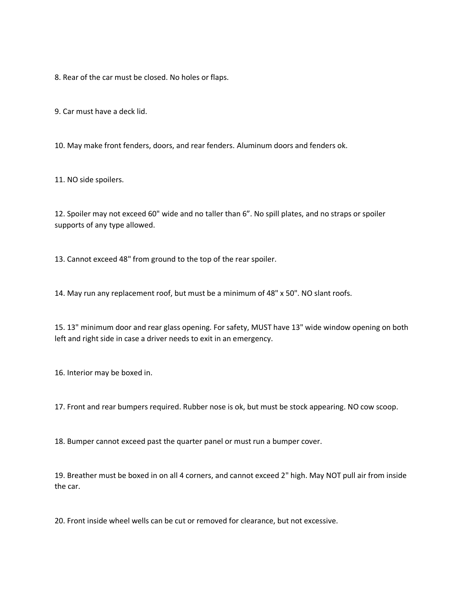8. Rear of the car must be closed. No holes or flaps.

9. Car must have a deck lid.

10. May make front fenders, doors, and rear fenders. Aluminum doors and fenders ok.

11. NO side spoilers.

12. Spoiler may not exceed 60" wide and no taller than 6". No spill plates, and no straps or spoiler supports of any type allowed.

13. Cannot exceed 48" from ground to the top of the rear spoiler.

14. May run any replacement roof, but must be a minimum of 48" x 50". NO slant roofs.

15. 13" minimum door and rear glass opening. For safety, MUST have 13" wide window opening on both left and right side in case a driver needs to exit in an emergency.

16. Interior may be boxed in.

17. Front and rear bumpers required. Rubber nose is ok, but must be stock appearing. NO cow scoop.

18. Bumper cannot exceed past the quarter panel or must run a bumper cover.

19. Breather must be boxed in on all 4 corners, and cannot exceed 2" high. May NOT pull air from inside the car.

20. Front inside wheel wells can be cut or removed for clearance, but not excessive.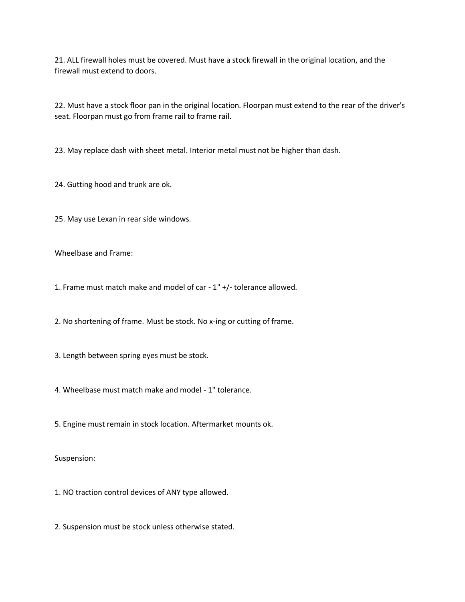21. ALL firewall holes must be covered. Must have a stock firewall in the original location, and the firewall must extend to doors.

22. Must have a stock floor pan in the original location. Floorpan must extend to the rear of the driver's seat. Floorpan must go from frame rail to frame rail.

23. May replace dash with sheet metal. Interior metal must not be higher than dash.

24. Gutting hood and trunk are ok.

25. May use Lexan in rear side windows.

Wheelbase and Frame:

1. Frame must match make and model of car - 1" +/- tolerance allowed.

2. No shortening of frame. Must be stock. No x-ing or cutting of frame.

3. Length between spring eyes must be stock.

4. Wheelbase must match make and model - 1" tolerance.

5. Engine must remain in stock location. Aftermarket mounts ok.

Suspension:

1. NO traction control devices of ANY type allowed.

2. Suspension must be stock unless otherwise stated.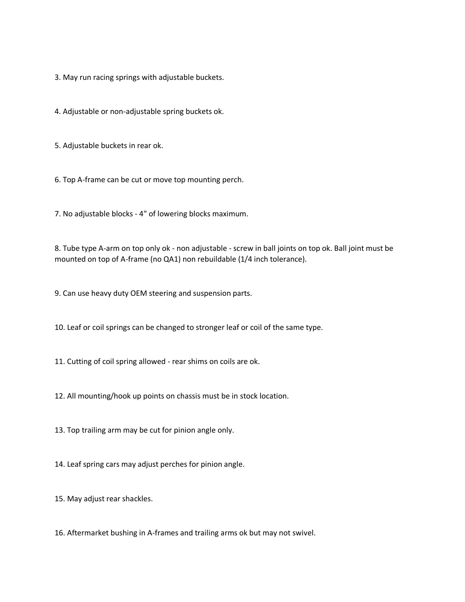3. May run racing springs with adjustable buckets.

4. Adjustable or non-adjustable spring buckets ok.

5. Adjustable buckets in rear ok.

6. Top A-frame can be cut or move top mounting perch.

7. No adjustable blocks - 4" of lowering blocks maximum.

8. Tube type A-arm on top only ok - non adjustable - screw in ball joints on top ok. Ball joint must be mounted on top of A-frame (no QA1) non rebuildable (1/4 inch tolerance).

9. Can use heavy duty OEM steering and suspension parts.

10. Leaf or coil springs can be changed to stronger leaf or coil of the same type.

11. Cutting of coil spring allowed - rear shims on coils are ok.

12. All mounting/hook up points on chassis must be in stock location.

13. Top trailing arm may be cut for pinion angle only.

14. Leaf spring cars may adjust perches for pinion angle.

15. May adjust rear shackles.

16. Aftermarket bushing in A-frames and trailing arms ok but may not swivel.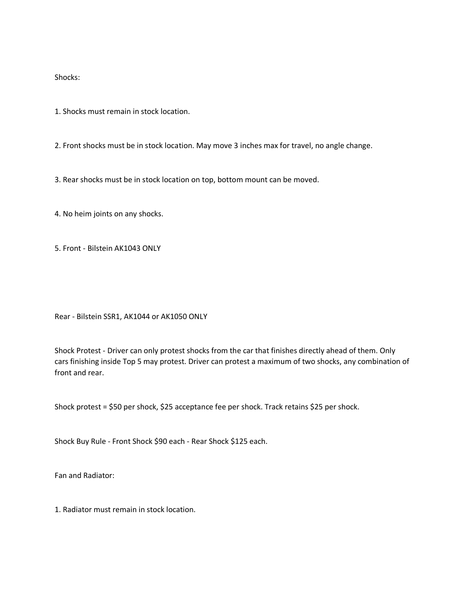Shocks:

1. Shocks must remain in stock location.

2. Front shocks must be in stock location. May move 3 inches max for travel, no angle change.

3. Rear shocks must be in stock location on top, bottom mount can be moved.

4. No heim joints on any shocks.

5. Front - Bilstein AK1043 ONLY

Rear - Bilstein SSR1, AK1044 or AK1050 ONLY

Shock Protest - Driver can only protest shocks from the car that finishes directly ahead of them. Only cars finishing inside Top 5 may protest. Driver can protest a maximum of two shocks, any combination of front and rear.

Shock protest = \$50 per shock, \$25 acceptance fee per shock. Track retains \$25 per shock.

Shock Buy Rule - Front Shock \$90 each - Rear Shock \$125 each.

Fan and Radiator:

1. Radiator must remain in stock location.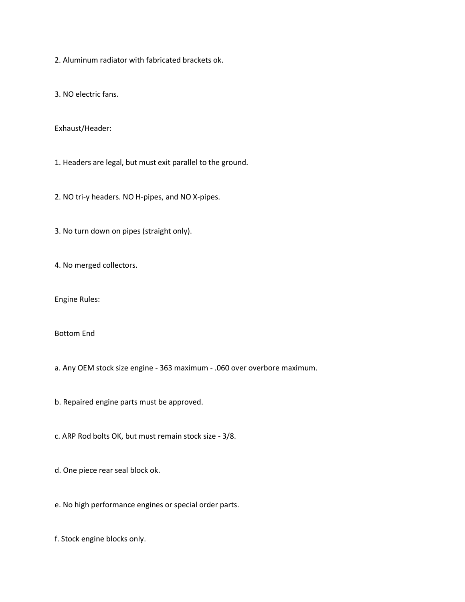2. Aluminum radiator with fabricated brackets ok.

3. NO electric fans.

Exhaust/Header:

1. Headers are legal, but must exit parallel to the ground.

2. NO tri-y headers. NO H-pipes, and NO X-pipes.

3. No turn down on pipes (straight only).

4. No merged collectors.

Engine Rules:

Bottom End

a. Any OEM stock size engine - 363 maximum - .060 over overbore maximum.

b. Repaired engine parts must be approved.

c. ARP Rod bolts OK, but must remain stock size - 3/8.

d. One piece rear seal block ok.

e. No high performance engines or special order parts.

f. Stock engine blocks only.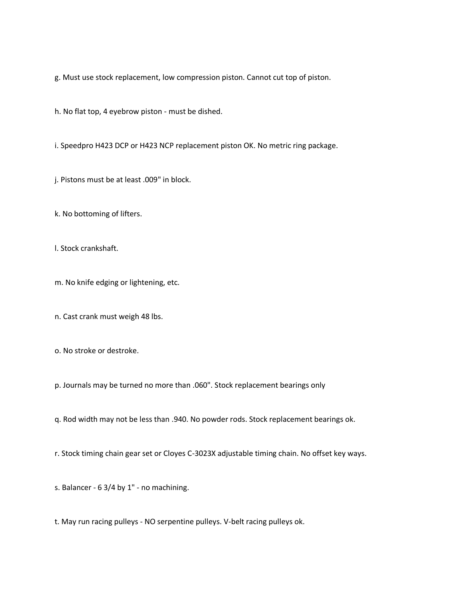g. Must use stock replacement, low compression piston. Cannot cut top of piston.

h. No flat top, 4 eyebrow piston - must be dished.

i. Speedpro H423 DCP or H423 NCP replacement piston OK. No metric ring package.

j. Pistons must be at least .009" in block.

k. No bottoming of lifters.

l. Stock crankshaft.

m. No knife edging or lightening, etc.

n. Cast crank must weigh 48 lbs.

o. No stroke or destroke.

p. Journals may be turned no more than .060". Stock replacement bearings only

q. Rod width may not be less than .940. No powder rods. Stock replacement bearings ok.

r. Stock timing chain gear set or Cloyes C-3023X adjustable timing chain. No offset key ways.

s. Balancer - 6 3/4 by 1" - no machining.

t. May run racing pulleys - NO serpentine pulleys. V-belt racing pulleys ok.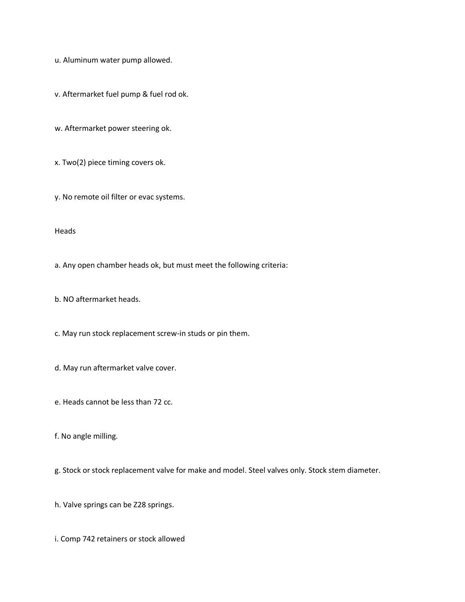u. Aluminum water pump allowed.

v. Aftermarket fuel pump & fuel rod ok.

w. Aftermarket power steering ok.

x. Two(2) piece timing covers ok.

y. No remote oil filter or evac systems.

Heads

a. Any open chamber heads ok, but must meet the following criteria:

b. NO aftermarket heads.

c. May run stock replacement screw-in studs or pin them.

d. May run aftermarket valve cover.

e. Heads cannot be less than 72 cc.

f. No angle milling.

g. Stock or stock replacement valve for make and model. Steel valves only. Stock stem diameter.

h. Valve springs can be Z28 springs.

i. Comp 742 retainers or stock allowed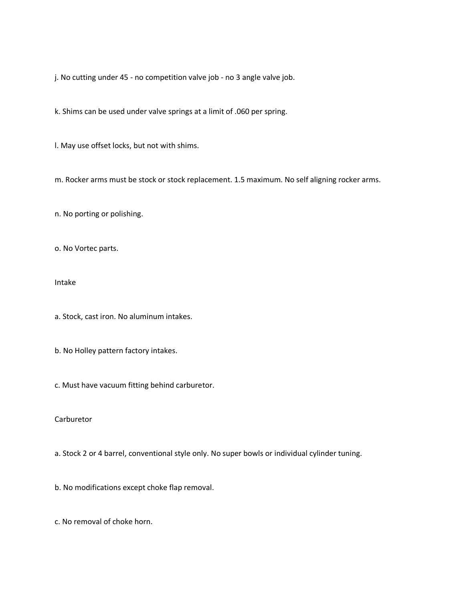j. No cutting under 45 - no competition valve job - no 3 angle valve job.

k. Shims can be used under valve springs at a limit of .060 per spring.

l. May use offset locks, but not with shims.

m. Rocker arms must be stock or stock replacement. 1.5 maximum. No self aligning rocker arms.

n. No porting or polishing.

o. No Vortec parts.

Intake

a. Stock, cast iron. No aluminum intakes.

b. No Holley pattern factory intakes.

c. Must have vacuum fitting behind carburetor.

## Carburetor

a. Stock 2 or 4 barrel, conventional style only. No super bowls or individual cylinder tuning.

b. No modifications except choke flap removal.

c. No removal of choke horn.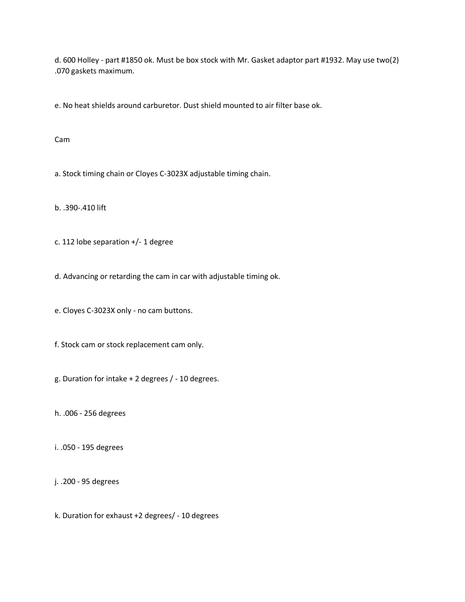d. 600 Holley - part #1850 ok. Must be box stock with Mr. Gasket adaptor part #1932. May use two(2) .070 gaskets maximum.

e. No heat shields around carburetor. Dust shield mounted to air filter base ok.

Cam

a. Stock timing chain or Cloyes C-3023X adjustable timing chain.

b. .390-.410 lift

c. 112 lobe separation +/- 1 degree

d. Advancing or retarding the cam in car with adjustable timing ok.

e. Cloyes C-3023X only - no cam buttons.

f. Stock cam or stock replacement cam only.

g. Duration for intake + 2 degrees / - 10 degrees.

h. .006 - 256 degrees

i. .050 - 195 degrees

j. .200 - 95 degrees

k. Duration for exhaust +2 degrees/ - 10 degrees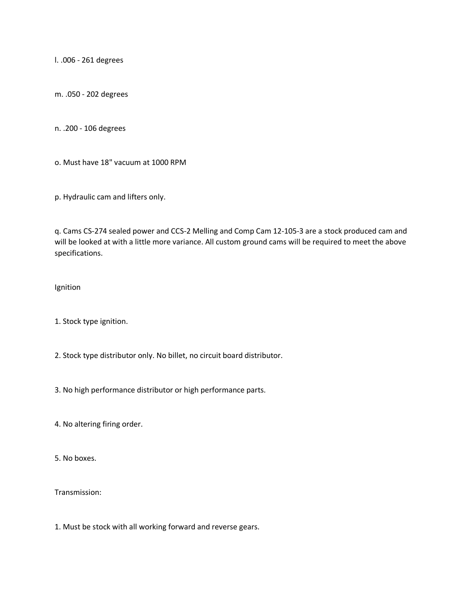l. .006 - 261 degrees

m. .050 - 202 degrees

n. .200 - 106 degrees

o. Must have 18" vacuum at 1000 RPM

p. Hydraulic cam and lifters only.

q. Cams CS-274 sealed power and CCS-2 Melling and Comp Cam 12-105-3 are a stock produced cam and will be looked at with a little more variance. All custom ground cams will be required to meet the above specifications.

Ignition

1. Stock type ignition.

2. Stock type distributor only. No billet, no circuit board distributor.

3. No high performance distributor or high performance parts.

4. No altering firing order.

5. No boxes.

Transmission:

1. Must be stock with all working forward and reverse gears.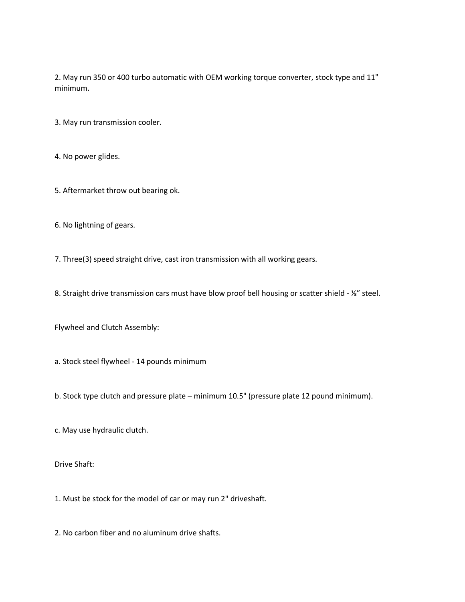2. May run 350 or 400 turbo automatic with OEM working torque converter, stock type and 11" minimum.

- 3. May run transmission cooler.
- 4. No power glides.
- 5. Aftermarket throw out bearing ok.
- 6. No lightning of gears.
- 7. Three(3) speed straight drive, cast iron transmission with all working gears.
- 8. Straight drive transmission cars must have blow proof bell housing or scatter shield ¼" steel.
- Flywheel and Clutch Assembly:
- a. Stock steel flywheel 14 pounds minimum
- b. Stock type clutch and pressure plate minimum 10.5" (pressure plate 12 pound minimum).
- c. May use hydraulic clutch.
- Drive Shaft:
- 1. Must be stock for the model of car or may run 2" driveshaft.
- 2. No carbon fiber and no aluminum drive shafts.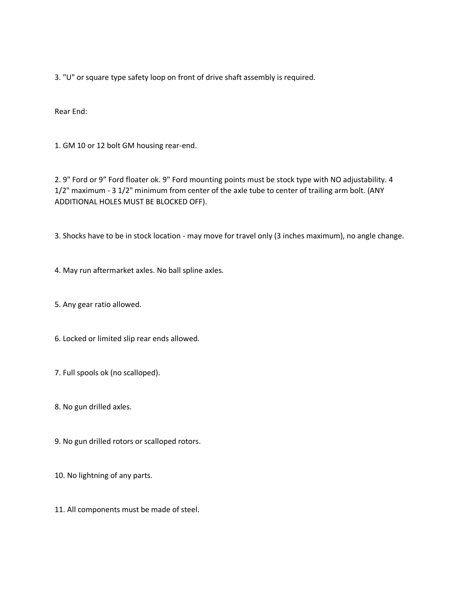3. "U" or square type safety loop on front of drive shaft assembly is required.

Rear End:

1. GM 10 or 12 bolt GM housing rear-end.

2. 9" Ford or 9" Ford floater ok. 9" Ford mounting points must be stock type with NO adjustability. 4 1/2" maximum - 3 1/2" minimum from center of the axle tube to center of trailing arm bolt. (ANY ADDITIONAL HOLES MUST BE BLOCKED OFF).

3. Shocks have to be in stock location - may move for travel only (3 inches maximum), no angle change.

4. May run aftermarket axles. No ball spline axles.

5. Any gear ratio allowed.

6. Locked or limited slip rear ends allowed.

7. Full spools ok (no scalloped).

8. No gun drilled axles.

9. No gun drilled rotors or scalloped rotors.

10. No lightning of any parts.

11. All components must be made of steel.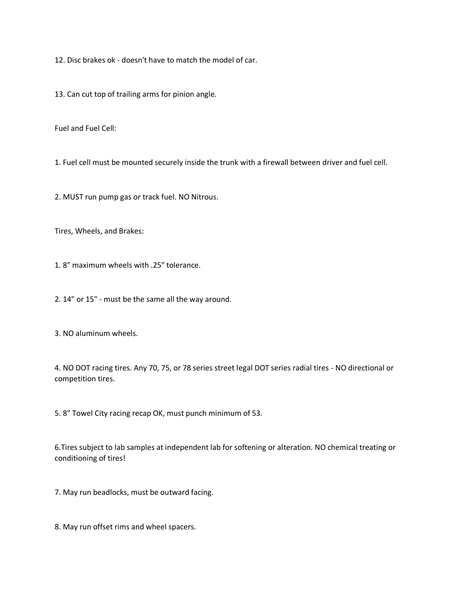12. Disc brakes ok - doesn't have to match the model of car.

13. Can cut top of trailing arms for pinion angle.

Fuel and Fuel Cell:

1. Fuel cell must be mounted securely inside the trunk with a firewall between driver and fuel cell.

2. MUST run pump gas or track fuel. NO Nitrous.

Tires, Wheels, and Brakes:

1. 8" maximum wheels with .25" tolerance.

2. 14" or 15" - must be the same all the way around.

3. NO aluminum wheels.

4. NO DOT racing tires. Any 70, 75, or 78 series street legal DOT series radial tires - NO directional or competition tires.

5. 8" Towel City racing recap OK, must punch minimum of 53.

6.Tires subject to lab samples at independent lab for softening or alteration. NO chemical treating or conditioning of tires!

7. May run beadlocks, must be outward facing.

8. May run offset rims and wheel spacers.